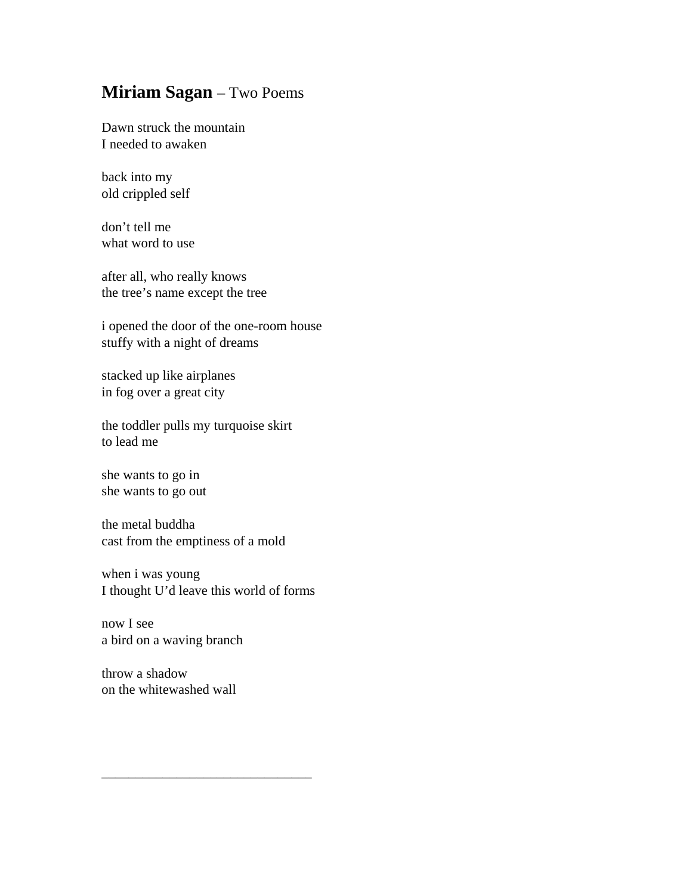## **Miriam Sagan** – Two Poems

Dawn struck the mountain I needed to awaken

back into my old crippled self

don't tell me what word to use

after all, who really knows the tree's name except the tree

i opened the door of the one-room house stuffy with a night of dreams

stacked up like airplanes in fog over a great city

the toddler pulls my turquoise skirt to lead me

she wants to go in she wants to go out

the metal buddha cast from the emptiness of a mold

when i was young I thought U'd leave this world of forms

\_\_\_\_\_\_\_\_\_\_\_\_\_\_\_\_\_\_\_\_\_\_\_\_\_\_\_\_\_\_\_

now I see a bird on a waving branch

throw a shadow on the whitewashed wall